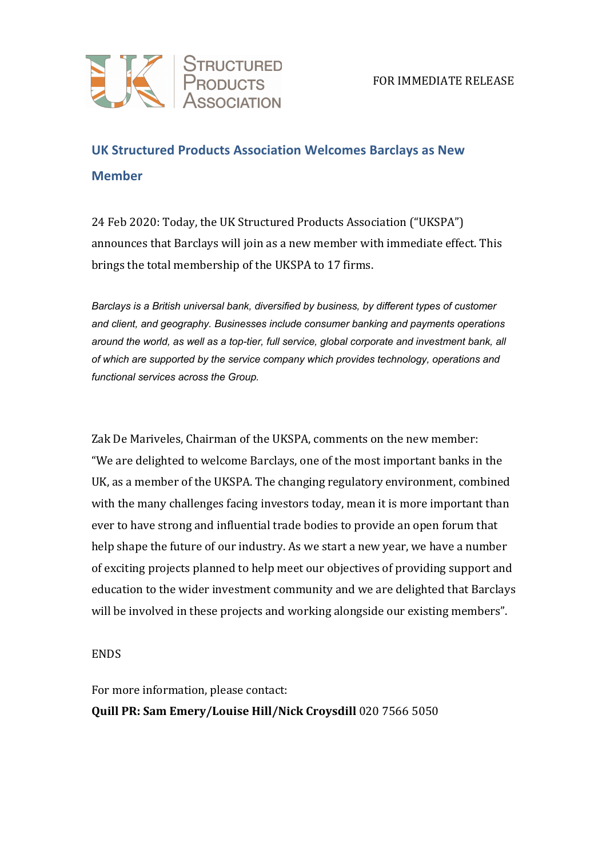## **UK Structured Products Association Welcomes Barclays as New Member**

24 Feb 2020: Today, the UK Structured Products Association ("UKSPA") announces that Barclays will join as a new member with immediate effect. This brings the total membership of the UKSPA to 17 firms.

*Barclays is a British universal bank, diversified by business, by different types of customer and client, and geography. Businesses include consumer banking and payments operations around the world, as well as a top-tier, full service, global corporate and investment bank, all of which are supported by the service company which provides technology, operations and functional services across the Group.*

Zak De Mariveles, Chairman of the UKSPA, comments on the new member: "We are delighted to welcome Barclays, one of the most important banks in the UK, as a member of the UKSPA. The changing regulatory environment, combined with the many challenges facing investors today, mean it is more important than ever to have strong and influential trade bodies to provide an open forum that help shape the future of our industry. As we start a new year, we have a number of exciting projects planned to help meet our objectives of providing support and education to the wider investment community and we are delighted that Barclays will be involved in these projects and working alongside our existing members".

## **ENDS**

For more information, please contact:

**Quill PR: Sam Emery/Louise Hill/Nick Croysdill** 020 7566 5050